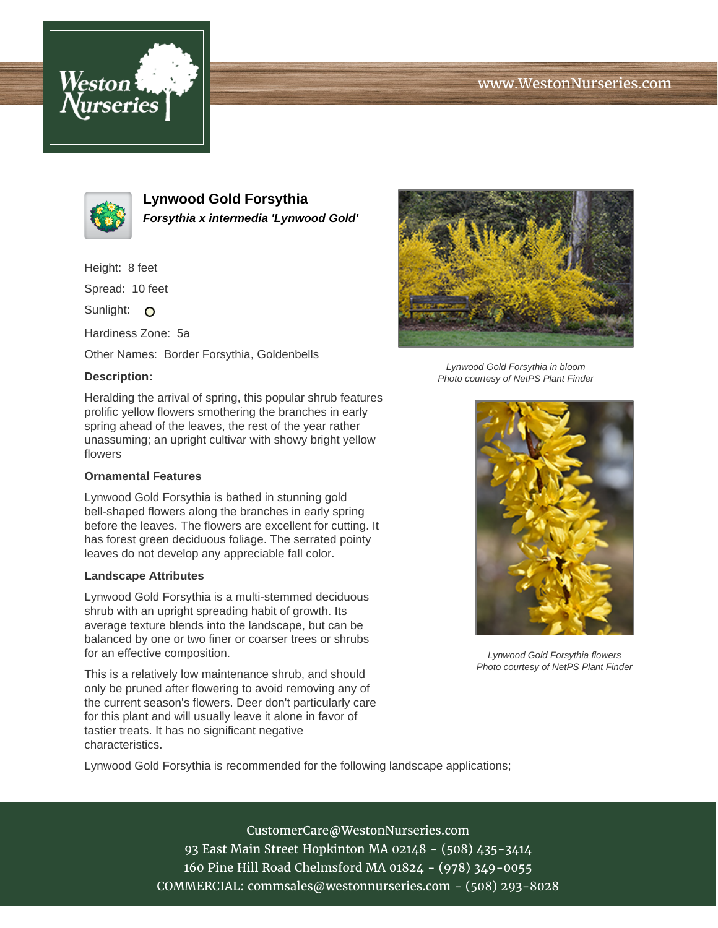# www.WestonNurseries.com





**Lynwood Gold Forsythia Forsythia x intermedia 'Lynwood Gold'**

Height: 8 feet

Spread: 10 feet

Sunlight: O

Hardiness Zone: 5a

Other Names: Border Forsythia, Goldenbells

#### **Description:**

Heralding the arrival of spring, this popular shrub features prolific yellow flowers smothering the branches in early spring ahead of the leaves, the rest of the year rather unassuming; an upright cultivar with showy bright yellow flowers

### **Ornamental Features**

Lynwood Gold Forsythia is bathed in stunning gold bell-shaped flowers along the branches in early spring before the leaves. The flowers are excellent for cutting. It has forest green deciduous foliage. The serrated pointy leaves do not develop any appreciable fall color.

#### **Landscape Attributes**

Lynwood Gold Forsythia is a multi-stemmed deciduous shrub with an upright spreading habit of growth. Its average texture blends into the landscape, but can be balanced by one or two finer or coarser trees or shrubs for an effective composition.

This is a relatively low maintenance shrub, and should only be pruned after flowering to avoid removing any of the current season's flowers. Deer don't particularly care for this plant and will usually leave it alone in favor of tastier treats. It has no significant negative characteristics.



Lynwood Gold Forsythia in bloom Photo courtesy of NetPS Plant Finder



Lynwood Gold Forsythia flowers Photo courtesy of NetPS Plant Finder

Lynwood Gold Forsythia is recommended for the following landscape applications;

CustomerCare@WestonNurseries.com 93 East Main Street Hopkinton MA 02148 - (508) 435-3414 160 Pine Hill Road Chelmsford MA 01824 - (978) 349-0055 COMMERCIAL: commsales@westonnurseries.com - (508) 293-8028